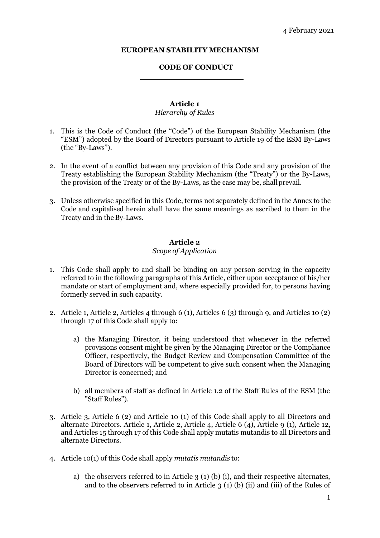#### **EUROPEAN STABILITY MECHANISM**

#### **CODE OF CONDUCT**

# **Article 1**

### *Hierarchy of Rules*

- 1. This is the Code of Conduct (the "Code") of the European Stability Mechanism (the "ESM") adopted by the Board of Directors pursuant to Article 19 of the ESM By-Laws (the "By-Laws").
- 2. In the event of a conflict between any provision of this Code and any provision of the Treaty establishing the European Stability Mechanism (the "Treaty") or the By-Laws, the provision of the Treaty or of the By-Laws, as the case may be, shallprevail.
- 3. Unless otherwise specified in this Code, terms not separately defined in the Annex to the Code and capitalised herein shall have the same meanings as ascribed to them in the Treaty and in theBy-Laws.

### **Article 2**

#### *Scope of Application*

- 1. This Code shall apply to and shall be binding on any person serving in the capacity referred to in the following paragraphs of this Article, either upon acceptance of his/her mandate or start of employment and, where especially provided for, to persons having formerly served in such capacity.
- 2. Article 1, Article 2, Articles 4 through 6 (1), Articles 6 (3) through 9, and Articles 10 (2) through 17 of this Code shall apply to:
	- a) the Managing Director, it being understood that whenever in the referred provisions consent might be given by the Managing Director or the Compliance Officer, respectively, the Budget Review and Compensation Committee of the Board of Directors will be competent to give such consent when the Managing Director is concerned; and
	- b) all members of staff as defined in Article 1.2 of the Staff Rules of the ESM (the "Staff Rules").
- 3. Article 3, Article 6 (2) and Article 10 (1) of this Code shall apply to all Directors and alternate Directors. Article 1, Article 2, Article 4, Article 6 (4), Article 9 (1), Article 12, and Articles 15 through 17 of this Code shall apply mutatis mutandis to all Directors and alternate Directors.
- 4. Article 10(1) of this Code shall apply *mutatis mutandis* to:
	- a) the observers referred to in Article  $3(1)(b)(i)$ , and their respective alternates, and to the observers referred to in Article 3 (1) (b) (ii) and (iii) of the Rules of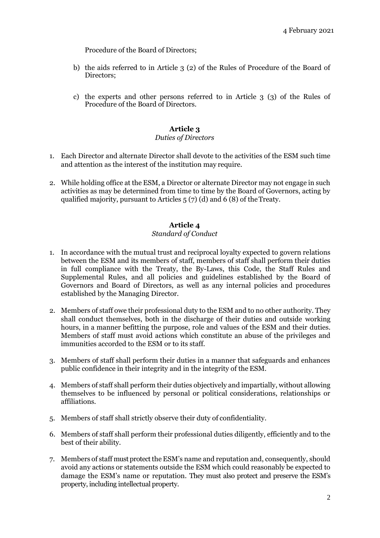Procedure of the Board of Directors;

- b) the aids referred to in Article 3 (2) of the Rules of Procedure of the Board of Directors;
- c) the experts and other persons referred to in Article 3 (3) of the Rules of Procedure of the Board of Directors.

# **Article 3**

### *Duties of Directors*

- 1. Each Director and alternate Director shall devote to the activities of the ESM such time and attention as the interest of the institution may require.
- 2. While holding office at the ESM, a Director or alternate Director may not engage in such activities as may be determined from time to time by the Board of Governors, acting by qualified majority, pursuant to Articles 5 (7) (d) and 6 (8) of theTreaty.

# **Article 4**

### *Standard of Conduct*

- 1. In accordance with the mutual trust and reciprocal loyalty expected to govern relations between the ESM and its members of staff, members of staff shall perform their duties in full compliance with the Treaty, the By-Laws, this Code, the Staff Rules and Supplemental Rules, and all policies and guidelines established by the Board of Governors and Board of Directors, as well as any internal policies and procedures established by the Managing Director.
- 2. Members of staff owe their professional duty to the ESM and to no other authority. They shall conduct themselves, both in the discharge of their duties and outside working hours, in a manner befitting the purpose, role and values of the ESM and their duties. Members of staff must avoid actions which constitute an abuse of the privileges and immunities accorded to the ESM or to its staff.
- 3. Members of staff shall perform their duties in a manner that safeguards and enhances public confidence in their integrity and in the integrity of the ESM.
- 4. Members of staff shall perform their duties objectively and impartially, without allowing themselves to be influenced by personal or political considerations, relationships or affiliations.
- 5. Members of staff shall strictly observe their duty of confidentiality.
- 6. Members of staff shall perform their professional duties diligently, efficiently and to the best of their ability.
- 7. Members of staff must protect the ESM's name and reputation and, consequently, should avoid any actions or statements outside the ESM which could reasonably be expected to damage the ESM's name or reputation. They must also protect and preserve the ESM's property, including intellectual property.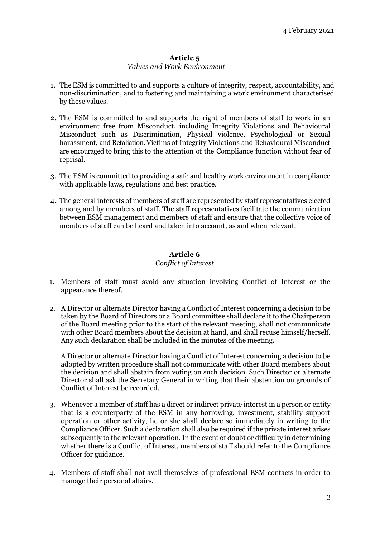### *Values and Work Environment*

- 1. The ESM is committed to and supports a culture of integrity, respect, accountability, and non-discrimination, and to fostering and maintaining a work environment characterised by these values.
- 2. The ESM is committed to and supports the right of members of staff to work in an environment free from Misconduct, including Integrity Violations and Behavioural Misconduct such as Discrimination, Physical violence, Psychological or Sexual harassment, and Retaliation. Victims of Integrity Violations and Behavioural Misconduct are encouraged to bring this to the attention of the Compliance function without fear of reprisal*.*
- 3. The ESM is committed to providing a safe and healthy work environment in compliance with applicable laws, regulations and best practice.
- 4. The general interests of members of staff are represented by staff representatives elected among and by members of staff. The staff representatives facilitate the communication between ESM management and members of staff and ensure that the collective voice of members of staff can be heard and taken into account, as and when relevant.

# **Article 6**

### *Conflict of Interest*

- 1. Members of staff must avoid any situation involving Conflict of Interest or the appearance thereof.
- 2. A Director or alternate Director having a Conflict of Interest concerning a decision to be taken by the Board of Directors or a Board committee shall declare it to the Chairperson of the Board meeting prior to the start of the relevant meeting, shall not communicate with other Board members about the decision at hand, and shall recuse himself/herself. Any such declaration shall be included in the minutes of the meeting.

A Director or alternate Director having a Conflict of Interest concerning a decision to be adopted by written procedure shall not communicate with other Board members about the decision and shall abstain from voting on such decision. Such Director or alternate Director shall ask the Secretary General in writing that their abstention on grounds of Conflict of Interest be recorded.

- 3. Whenever a member of staff has a direct or indirect private interest in a person or entity that is a counterparty of the ESM in any borrowing, investment, stability support operation or other activity, he or she shall declare so immediately in writing to the Compliance Officer. Such a declaration shall also be required if the private interest arises subsequently to the relevant operation. In the event of doubt or difficulty in determining whether there is a Conflict of Interest, members of staff should refer to the Compliance Officer for guidance.
- 4. Members of staff shall not avail themselves of professional ESM contacts in order to manage their personal affairs.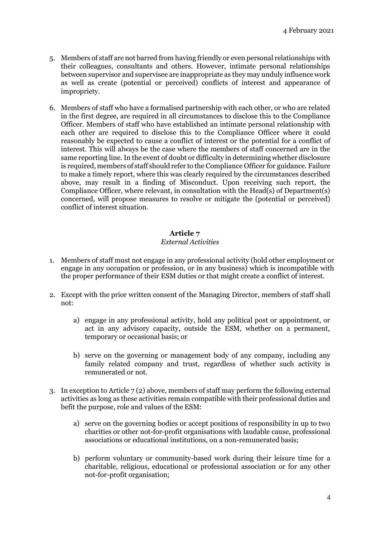- 5. Members of staff are not barred from having friendly or even personal relationships with their colleagues, consultants and others. However, intimate personal relationships between supervisor and supervisee are inappropriate as they may unduly influence work as well as create (potential or perceived) conflicts of interest and appearance of impropriety.
- 6. Members of staff who have a formalised partnership with each other, or who are related in the first degree, are required in all circumstances to disclose this to the Compliance Officer. Members of staff who have established an intimate personal relationship with each other are required to disclose this to the Compliance Officer where it could reasonably be expected to cause a conflict of interest or the potential for a conflict of interest. This will always be the case where the members of staff concerned are in the same reporting line. In the event of doubt or difficulty in determining whether disclosure is required, members of staff should refer to the Compliance Officer for guidance. Failure to make a timely report, where this was clearly required by the circumstances described above, may result in a finding of Misconduct. Upon receiving such report, the Compliance Officer, where relevant, in consultation with the Head(s) of Department(s) concerned, will propose measures to resolve or mitigate the (potential or perceived) conflict of interest situation.

# *External Activities*

- 1. Members of staff must not engage in any professional activity (hold other employment or engage in any occupation or profession, or in any business) which is incompatible with the proper performance of their ESM duties or that might create a conflict of interest.
- 2. Except with the prior written consent of the Managing Director, members of staff shall not:
	- a) engage in any professional activity, hold any political post or appointment, or act in any advisory capacity, outside the ESM, whether on a permanent, temporary or occasional basis; or
	- b) serve on the governing or management body of any company, including any family related company and trust, regardless of whether such activity is remunerated or not.
- 3. In exception to Article  $7(2)$  above, members of staff may perform the following external activities as long as these activities remain compatible with their professional duties and befit the purpose, role and values of the ESM:
	- a) serve on the governing bodies or accept positions of responsibility in up to two charities or other not-for-profit organisations with laudable cause, professional associations or educational institutions, on a non-remunerated basis;
	- b) perform voluntary or community-based work during their leisure time for a charitable, religious, educational or professional association or for any other not-for-profit organisation;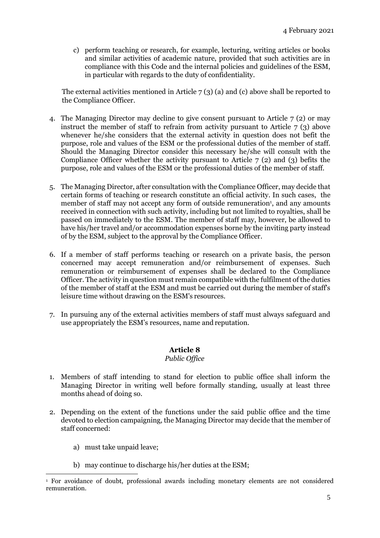c) perform teaching or research, for example, lecturing, writing articles or books and similar activities of academic nature, provided that such activities are in compliance with this Code and the internal policies and guidelines of the ESM, in particular with regards to the duty of confidentiality.

The external activities mentioned in Article 7 (3) (a) and (c) above shall be reported to the Compliance Officer.

- 4. The Managing Director may decline to give consent pursuant to Article 7 (2) or may instruct the member of staff to refrain from activity pursuant to Article 7 (3) above whenever he/she considers that the external activity in question does not befit the purpose, role and values of the ESM or the professional duties of the member of staff. Should the Managing Director consider this necessary he/she will consult with the Compliance Officer whether the activity pursuant to Article  $7(2)$  and (3) befits the purpose, role and values of the ESM or the professional duties of the member of staff.
- 5. The Managing Director, after consultation with the Compliance Officer, may decide that certain forms of teaching or research constitute an official activity. In such cases, the member of staff may not accept any form of outside remuneration<sup>1</sup>, and any amounts received in connection with such activity, including but not limited to royalties, shall be passed on immediately to the ESM. The member of staff may, however, be allowed to have his/her travel and/or accommodation expenses borne by the inviting party instead of by the ESM, subject to the approval by the Compliance Officer.
- 6. If a member of staff performs teaching or research on a private basis, the person concerned may accept remuneration and/or reimbursement of expenses. Such remuneration or reimbursement of expenses shall be declared to the Compliance Officer. The activity in question must remain compatible with the fulfilment of the duties of the member of staff at the ESM and must be carried out during the member of staff's leisure time without drawing on the ESM's resources.
- 7. In pursuing any of the external activities members of staff must always safeguard and use appropriately the ESM's resources, name and reputation.

# **Article 8**

### *Public Office*

- 1. Members of staff intending to stand for election to public office shall inform the Managing Director in writing well before formally standing, usually at least three months ahead of doing so.
- 2. Depending on the extent of the functions under the said public office and the time devoted to election campaigning, the Managing Director may decide that the member of staff concerned:
	- a) must take unpaid leave;
	- b) may continue to discharge his/her duties at the ESM;

 $\overline{a}$ <sup>1</sup> For avoidance of doubt, professional awards including monetary elements are not considered remuneration.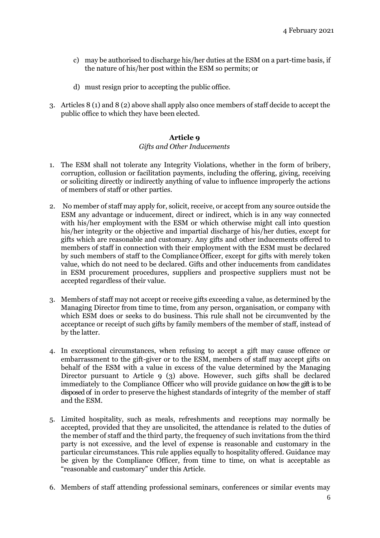- c) may be authorised to discharge his/her duties at the ESM on a part-time basis, if the nature of his/her post within the ESM so permits; or
- d) must resign prior to accepting the public office.
- 3. Articles 8 (1) and 8 (2) above shall apply also once members of staff decide to accept the public office to which they have been elected.

#### *Gifts and Other Inducements*

- 1. The ESM shall not tolerate any Integrity Violations, whether in the form of bribery, corruption, collusion or facilitation payments, including the offering, giving, receiving or soliciting directly or indirectly anything of value to influence improperly the actions of members of staff or other parties.
- 2. No member of staff may apply for, solicit, receive, or accept from any source outside the ESM any advantage or inducement, direct or indirect, which is in any way connected with his/her employment with the ESM or which otherwise might call into question his/her integrity or the objective and impartial discharge of his/her duties, except for gifts which are reasonable and customary. Any gifts and other inducements offered to members of staff in connection with their employment with the ESM must be declared by such members of staff to the Compliance Officer, except for gifts with merely token value, which do not need to be declared. Gifts and other inducements from candidates in ESM procurement procedures, suppliers and prospective suppliers must not be accepted regardless of their value.
- 3. Members of staff may not accept or receive gifts exceeding a value, as determined by the Managing Director from time to time, from any person, organisation, or company with which ESM does or seeks to do business. This rule shall not be circumvented by the acceptance or receipt of such gifts by family members of the member of staff, instead of by the latter.
- 4. In exceptional circumstances, when refusing to accept a gift may cause offence or embarrassment to the gift-giver or to the ESM, members of staff may accept gifts on behalf of the ESM with a value in excess of the value determined by the Managing Director pursuant to Article 9 (3) above. However, such gifts shall be declared immediately to the Compliance Officer who will provide guidance on how the gift is to be disposed of in order to preserve the highest standards of integrity of the member of staff and the ESM.
- 5. Limited hospitality, such as meals, refreshments and receptions may normally be accepted, provided that they are unsolicited, the attendance is related to the duties of the member of staff and the third party, the frequency of such invitations from the third party is not excessive, and the level of expense is reasonable and customary in the particular circumstances. This rule applies equally to hospitality offered. Guidance may be given by the Compliance Officer, from time to time, on what is acceptable as "reasonable and customary" under this Article.
- 6. Members of staff attending professional seminars, conferences or similar events may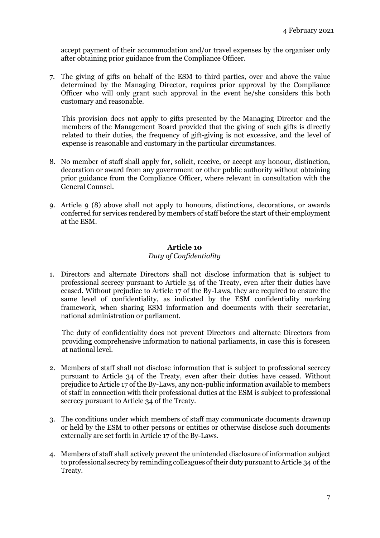accept payment of their accommodation and/or travel expenses by the organiser only after obtaining prior guidance from the Compliance Officer.

7. The giving of gifts on behalf of the ESM to third parties, over and above the value determined by the Managing Director, requires prior approval by the Compliance Officer who will only grant such approval in the event he/she considers this both customary and reasonable.

This provision does not apply to gifts presented by the Managing Director and the members of the Management Board provided that the giving of such gifts is directly related to their duties, the frequency of gift-giving is not excessive, and the level of expense is reasonable and customary in the particular circumstances.

- 8. No member of staff shall apply for, solicit, receive, or accept any honour, distinction, decoration or award from any government or other public authority without obtaining prior guidance from the Compliance Officer, where relevant in consultation with the General Counsel.
- 9. Article 9 (8) above shall not apply to honours, distinctions, decorations, or awards conferred for services rendered by members of staff before the start of their employment at the ESM.

### **Article 10**

### *Duty of Confidentiality*

1. Directors and alternate Directors shall not disclose information that is subject to professional secrecy pursuant to Article 34 of the Treaty, even after their duties have ceased. Without prejudice to Article 17 of the By-Laws, they are required to ensure the same level of confidentiality, as indicated by the ESM confidentiality marking framework, when sharing ESM information and documents with their secretariat, national administration or parliament.

The duty of confidentiality does not prevent Directors and alternate Directors from providing comprehensive information to national parliaments, in case this is foreseen at national level.

- 2. Members of staff shall not disclose information that is subject to professional secrecy pursuant to Article 34 of the Treaty, even after their duties have ceased. Without prejudice to Article 17 of the By-Laws, any non-public information available to members of staff in connection with their professional duties at the ESM is subject to professional secrecy pursuant to Article 34 of the Treaty.
- 3. The conditions under which members of staff may communicate documents drawnup or held by the ESM to other persons or entities or otherwise disclose such documents externally are set forth in Article 17 of the By-Laws.
- 4. Members of staff shall actively prevent the unintended disclosure of information subject to professional secrecy by reminding colleagues of their duty pursuant to Article 34 of the Treaty.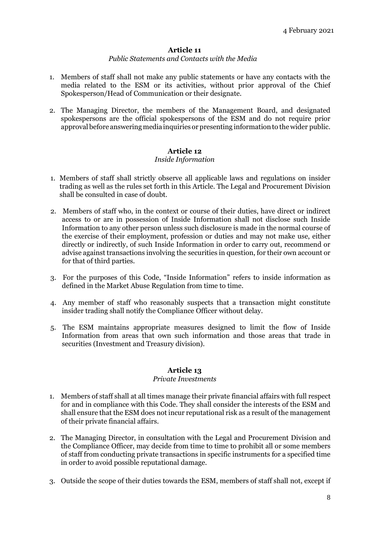#### *Public Statements and Contacts with the Media*

- 1. Members of staff shall not make any public statements or have any contacts with the media related to the ESM or its activities, without prior approval of the Chief Spokesperson/Head of Communication or their designate.
- 2. The Managing Director, the members of the Management Board, and designated spokespersons are the official spokespersons of the ESM and do not require prior approvalbefore answering media inquiries or presenting informationto thewider public.

# **Article 12**

### *Inside Information*

- 1. Members of staff shall strictly observe all applicable laws and regulations on insider trading as well as the rules set forth in this Article. The Legal and Procurement Division shall be consulted in case of doubt.
- 2. Members of staff who, in the context or course of their duties, have direct or indirect access to or are in possession of Inside Information shall not disclose such Inside Information to any other person unless such disclosure is made in the normal course of the exercise of their employment, profession or duties and may not make use, either directly or indirectly, of such Inside Information in order to carry out, recommend or advise against transactions involving the securities in question, for their own account or for that of third parties.
- 3. For the purposes of this Code, "Inside Information" refers to inside information as defined in the Market Abuse Regulation from time to time.
- 4. Any member of staff who reasonably suspects that a transaction might constitute insider trading shall notify the Compliance Officer without delay.
- 5. The ESM maintains appropriate measures designed to limit the flow of Inside Information from areas that own such information and those areas that trade in securities (Investment and Treasury division).

### **Article 13**

#### *Private Investments*

- 1. Members of staff shall at all times manage their private financial affairs with full respect for and in compliance with this Code. They shall consider the interests of the ESM and shall ensure that the ESM does not incur reputational risk as a result of the management of their private financial affairs.
- 2. The Managing Director, in consultation with the Legal and Procurement Division and the Compliance Officer, may decide from time to time to prohibit all or some members of staff from conducting private transactions in specific instruments for a specified time in order to avoid possible reputational damage.
- 3. Outside the scope of their duties towards the ESM, members of staff shall not, except if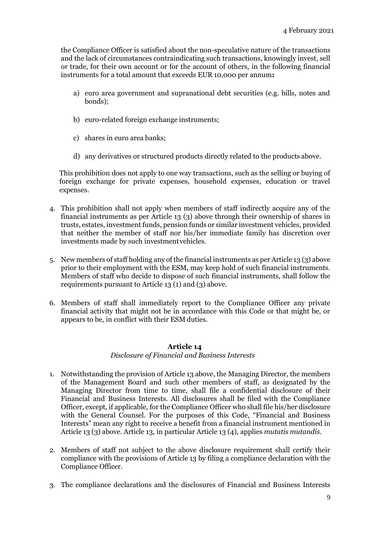the Compliance Officer is satisfied about the non-speculative nature of the transactions and the lack of circumstances contraindicating such transactions, knowingly invest, sell or trade, for their own account or for the account of others, in the following financial instruments for a total amount that exceeds EUR 10,000 per annum**:**

- a) euro area government and supranational debt securities (e.g. bills, notes and bonds);
- b) euro-related foreign exchange instruments;
- c) shares in euro area banks;
- d) any derivatives or structured products directly related to the products above.

This prohibition does not apply to one way transactions, such as the selling or buying of foreign exchange for private expenses, household expenses, education or travel expenses.

- 4. This prohibition shall not apply when members of staff indirectly acquire any of the financial instruments as per Article 13 (3) above through their ownership of shares in trusts, estates, investment funds, pension funds or similar investment vehicles, provided that neither the member of staff nor his/her immediate family has discretion over investments made by such investmentvehicles.
- 5. New members of staff holding any of the financial instruments as per Article 13 (3) above prior to their employment with the ESM, may keep hold of such financial instruments. Members of staff who decide to dispose of such financial instruments, shall follow the requirements pursuant to Article 13 (1) and (3) above.
- 6. Members of staff shall immediately report to the Compliance Officer any private financial activity that might not be in accordance with this Code or that might be, or appears to be, in conflict with their ESM duties.

### **Article 14**

#### *Disclosure of Financial and Business Interests*

- 1. Notwithstanding the provision of Article 13 above, the Managing Director, the members of the Management Board and such other members of staff, as designated by the Managing Director from time to time, shall file a confidential disclosure of their Financial and Business Interests. All disclosures shall be filed with the Compliance Officer, except, if applicable, for the Compliance Officer who shall file his/her disclosure with the General Counsel. For the purposes of this Code, "Financial and Business Interests" mean any right to receive a benefit from a financial instrument mentioned in Article 13 (3) above. Article 13, in particular Article 13 (4), applies *mutatis mutandis.*
- 2. Members of staff not subject to the above disclosure requirement shall certify their compliance with the provisions of Article 13 by filing a compliance declaration with the Compliance Officer.
- 3. The compliance declarations and the disclosures of Financial and Business Interests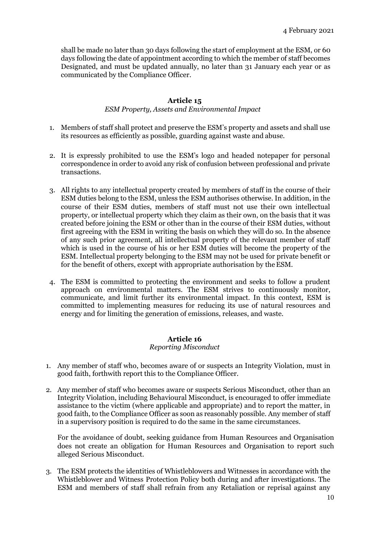shall be made no later than 30 days following the start of employment at the ESM, or 60 days following the date of appointment according to which the member of staff becomes Designated, and must be updated annually, no later than 31 January each year or as communicated by the Compliance Officer.

# **Article 15**

### *ESM Property, Assets and Environmental Impact*

- 1. Members of staff shall protect and preserve the ESM's property and assets and shall use its resources as efficiently as possible, guarding against waste and abuse.
- 2. It is expressly prohibited to use the ESM's logo and headed notepaper for personal correspondence in order to avoid any risk of confusion between professional and private transactions.
- 3. All rights to any intellectual property created by members of staff in the course of their ESM duties belong to the ESM, unless the ESM authorises otherwise. In addition, in the course of their ESM duties, members of staff must not use their own intellectual property, or intellectual property which they claim as their own, on the basis that it was created before joining the ESM or other than in the course of their ESM duties, without first agreeing with the ESM in writing the basis on which they will do so. In the absence of any such prior agreement, all intellectual property of the relevant member of staff which is used in the course of his or her ESM duties will become the property of the ESM. Intellectual property belonging to the ESM may not be used for private benefit or for the benefit of others, except with appropriate authorisation by the ESM.
- 4. The ESM is committed to protecting the environment and seeks to follow a prudent approach on environmental matters. The ESM strives to continuously monitor, communicate, and limit further its environmental impact. In this context, ESM is committed to implementing measures for reducing its use of natural resources and energy and for limiting the generation of emissions, releases, and waste.

### **Article 16**

### *Reporting Misconduct*

- 1. Any member of staff who, becomes aware of or suspects an Integrity Violation, must in good faith, forthwith report this to the Compliance Officer.
- 2. Any member of staff who becomes aware or suspects Serious Misconduct, other than an Integrity Violation, including Behavioural Misconduct, is encouraged to offer immediate assistance to the victim (where applicable and appropriate) and to report the matter, in good faith, to the Compliance Officer as soon as reasonably possible. Any member of staff in a supervisory position is required to do the same in the same circumstances.

For the avoidance of doubt, seeking guidance from Human Resources and Organisation does not create an obligation for Human Resources and Organisation to report such alleged Serious Misconduct.

3. The ESM protects the identities of Whistleblowers and Witnesses in accordance with the Whistleblower and Witness Protection Policy both during and after investigations. The ESM and members of staff shall refrain from any Retaliation or reprisal against any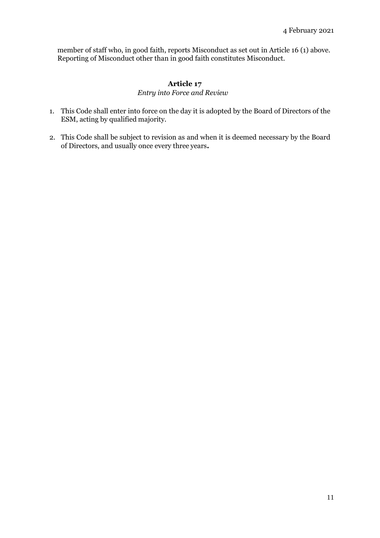member of staff who, in good faith, reports Misconduct as set out in Article 16 (1) above. Reporting of Misconduct other than in good faith constitutes Misconduct.

# **Article 17**

# *Entry into Force and Review*

- 1. This Code shall enter into force on the day it is adopted by the Board of Directors of the ESM, acting by qualified majority.
- 2. This Code shall be subject to revision as and when it is deemed necessary by the Board of Directors, and usually once every three years**.**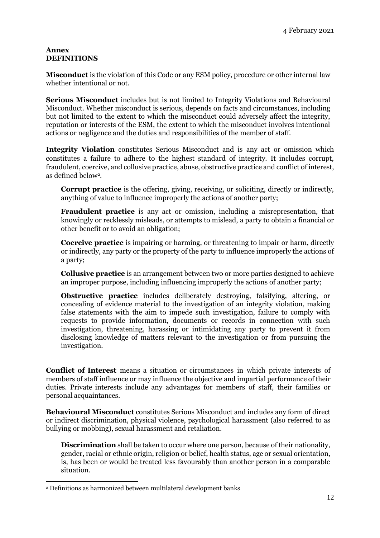### **Annex DEFINITIONS**

**Misconduct** is the violation of this Code or any ESM policy, procedure or other internal law whether intentional or not*.*

**Serious Misconduct** includes but is not limited to Integrity Violations and Behavioural Misconduct. Whether misconduct is serious, depends on facts and circumstances, including but not limited to the extent to which the misconduct could adversely affect the integrity, reputation or interests of the ESM, the extent to which the misconduct involves intentional actions or negligence and the duties and responsibilities of the member of staff.

**Integrity Violation** constitutes Serious Misconduct and is any act or omission which constitutes a failure to adhere to the highest standard of integrity. It includes corrupt, fraudulent, coercive, and collusive practice, abuse, obstructive practice and conflict of interest, as defined below<sup>2</sup> .

**Corrupt practice** is the offering, giving, receiving, or soliciting, directly or indirectly, anything of value to influence improperly the actions of another party;

**Fraudulent practice** is any act or omission, including a misrepresentation, that knowingly or recklessly misleads, or attempts to mislead, a party to obtain a financial or other benefit or to avoid an obligation;

**Coercive practice** is impairing or harming, or threatening to impair or harm, directly or indirectly, any party or the property of the party to influence improperly the actions of a party;

**Collusive practice** is an arrangement between two or more parties designed to achieve an improper purpose, including influencing improperly the actions of another party;

**Obstructive practice** includes deliberately destroying, falsifying, altering, or concealing of evidence material to the investigation of an integrity violation, making false statements with the aim to impede such investigation, failure to comply with requests to provide information, documents or records in connection with such investigation, threatening, harassing or intimidating any party to prevent it from disclosing knowledge of matters relevant to the investigation or from pursuing the investigation.

**Conflict of Interest** means a situation or circumstances in which private interests of members of staff influence or may influence the objective and impartial performance of their duties. Private interests include any advantages for members of staff, their families or personal acquaintances.

**Behavioural Misconduct** constitutes Serious Misconduct and includes any form of direct or indirect discrimination, physical violence, psychological harassment (also referred to as bullying or mobbing), sexual harassment and retaliation.

**Discrimination** shall be taken to occur where one person, because of their nationality, gender, racial or ethnic origin, religion or belief, health status, age or sexual orientation, is, has been or would be treated less favourably than another person in a comparable situation.

 $\overline{a}$ 

<sup>2</sup> Definitions as harmonized between multilateral development banks